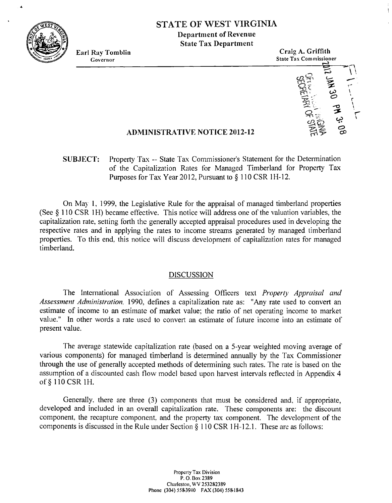

# **STATE OF WEST VIRGINIA**

**Ilepartment of Revenue State Tax Department** 



## **ADMINISTRATIVE NOTICE 2012-12**

## **SUBJECT:** Property Tax -- State Tax Commissioner's Statement for the Determination of the Capitalization Rates for Managed Timberland for Property Tax Purposes for Tax Year 2012, Pursuant to § 110 CSR 1H-12.

On May 1, 1999, the Legislative Rule for the appraisal of managed timberland properties (See § 110 CSR 1H) became effective. This notice will address one of the valuation variables, the capitalization rate, setting forth the generally accepted appraisal procedures used in developing the respective rates and in applying the rates to income streams generated by managed timberland properties. To this end. this notice will discuss development of capitalization rates for managed timberland.

### DISCUSSION

The International Association of Assessing Officers text *Property Appraisal and Assessment Administration*, 1990, defines a capitalization rate as: "Any rate used to convert an estimate of income to an estimate of market value; the ratio of net operating income to market value." In other words a rate used to convert an estimate of future income into an estimate of present value.

The average statewide capitalization rate (based on a 5-year weighted moving average of various components) for managed timberland is determined annually by the Tax Commissioner through the use of generally accepted methods of determining such rates. The rate is based on the assumption of a discounted cash flow model based upon harvest intervals reflected in Appendix 4 of § 110 CSR 1H.

Generally. there are three **(3)** components that must be considered and. if appropriate, developed and included in an overall capitalization rate. These components are: the discount component. the recapture component. and the property tax component. The development of the components is discussed in the Rule under Section  $\S 110 \text{ CSR} 1H-12.1$ . These are as follows: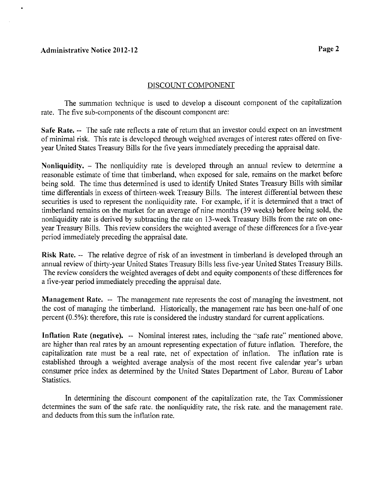#### **Administrative Notice 2012-12**

#### DISCOUNT COMPONENT

The summation technique is used to develop a discount component of the capitalization rate. The five sub-components of the discount component are:

**Safe Rate.** -- The safe rate reflects a rate of return that an investor could expect on an investment of minimal risk. This rate is devclopcd through weighted averages of interest rates offered on fiveyear United States Treasury Bills for the five years immediately preceding the appraisal date.

**Nonliquidity.** - The nonliquidity rate is developed through an amual review to determine a reasonable estimate of time that timberland, when exposed for sale, remains on the market before being sold. The time thus determined is used to identify United States Treasury Bills with similar time differentials in excess of thirteen-week Treasury Bills. The interest differential between these securities is used to represent the nonliquidity rate. For examplc. if it is determined that a tract of timberland remains on the market for an average of nine months (39 weeks) before being sold, the nonliquidity rate is derived by subtracting the rate on 13-week Treasury Bills from the ratc on oncyear Treasury Bills. This review considers the weighted average of these differences for a five-year period immediately preceding the appraisal date.

**Risk Rate.** -- The relative degree of risk of an investment in timberland is developed through an annual review of thirty-year Unitcd States Treasuty Bills less five-year United States Treasury Bills. The review considers the weighted averages of debt and equity components of these differences for a five-year period immediately preceding the appraisal date.

**Management Rate.** -- The management rate represents the cost of managing the investment, not the cost of managing the timberland. Historically, the management rate has been one-half of one percent (0.5%): therefore, this rate is considered the industry standard for current applications.

**Inflation Rate (negative).** -- Nominal interest rates, including the "safe rate" mentioned above. are higher than real rates by an amount representing expectation of future inflation. Therefore, the capitalization rate must be a real rate. net of expectation of inflation. The inflation rate is established through a weighted average analysis of the most recent five calendar year's urban consumer price index as determined by the United States Department of Labor. Bureau of Labor Statistics.

In determining the discount component of the capitalization rate, the Tax Commissioner determines the sum of the safe rate, the nonliquidity rate, the risk rate, and the management rate. and deducts from this sum the inflation rate.